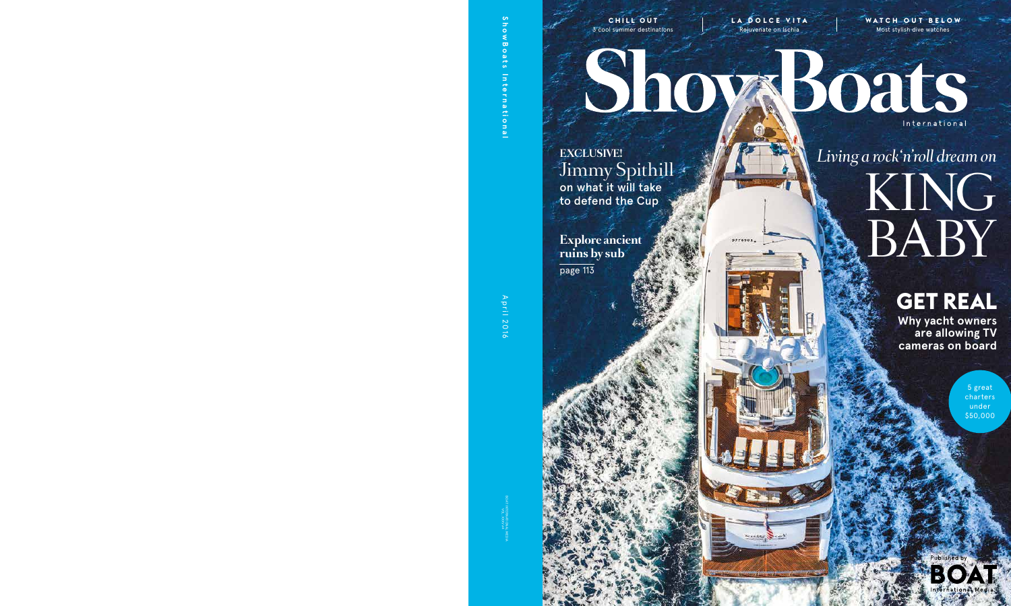**CHILL OUT** 3 cool summer destinations

**LA DOLCE VITA** Rejuvenate on Ischia

**WATC H O U T B E LOW** Most stylish dive watches

**EXCLUSIVE!** Jimmy Spithill on what it will take to defend the Cup

**Explore ancient ruins by sub**  page 113

## Boats International

# *Living a rock'n'roll dream on* KING BABY

### **GET REAL**

**Why yacht owners are allowing TV cameras on board**

> 5 great charters under \$50,000

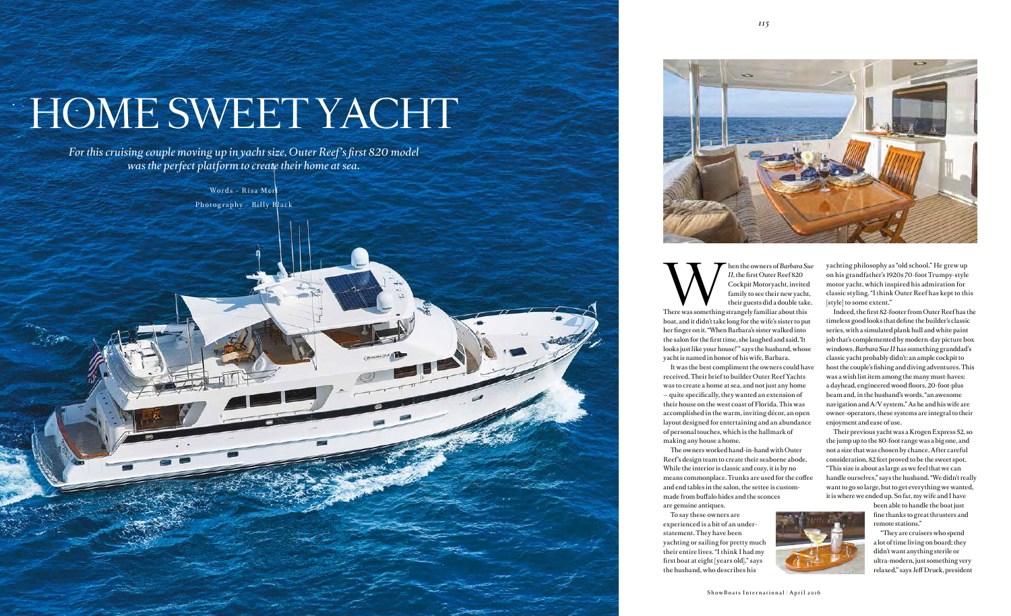*For this cruising couple moving up in yacht size, Outer Reef's first 820 model was the perfect platform to create their home at sea.*

> Words – R isa Merl Photography – Billy Black



# HOME SWEET YACHT

Machine owners of *Barbara Sue*<br> *II*, the first Outer Reef 820<br>
Cockpit Motoryacht, invited<br>
family to see their new yacht,<br>
their guests did a double take.<br>
There was something strangely familiar about this *II*, the first Outer Reef 820 Cockpit Motoryacht, invited family to see their new yacht, their guests did a double take. boat, and it didn't take long for the wife's sister to put her finger on it. "When Barbara's sister walked into the salon for the first time, she laughed and said, 'It looks just like your house!" says the husband, whose yacht is named in honor of his wife, Barbara. It was the best compliment the owners could have received. Their brief to builder Outer Reef Yachts was to create a home at sea, and not just any home — quite specifically, they wanted an extension of their house on the west coast of Florida. This was accomplished in the warm, inviting décor, an open layout designed for entertaining and an abundance of personal touches, which is the hallmark of making any house a home.

The owners worked hand-in-hand with Outer Reef 's design team to create their seaborne abode. While the interior is classic and cozy, it is by no means commonplace. Trunks are used for the coffee and end tables in the salon, the settee is custommade from buffalo hides and the sconces

are genuine antiques.

To say these owners are yachting or sailing for pretty much their entire lives. "I think I had my first boat at eight [years old]," says

experienced is a bit of an understatement. They have been the husband, who describes his

yachting philosophy as "old school." He grew up on his grandfather's 1920s 70-foot Trumpy-style motor yacht, which inspired his admiration for classic styling. "I think Outer Reef has kept to this [style] to some extent."

Indeed, the first 82-footer from Outer Reef has the timeless good looks that define the builder's classic series, with a simulated plank hull and white paint job that's complemented by modern-day picture box windows. *Barbara Sue II* has something granddad's classic yacht probably didn't: an ample cockpit to host the couple's fishing and diving adventures. This was a wish list item among the many must-haves: a dayhead, engineered wood floors, 20-foot-plus beam and, in the husband's words, "an awesome navigation and A/V system." As he and his wife are owner-operators, these systems are integral to their enjoyment and ease of use.

Their previous yacht was a Krogen Express 52, so the jump up to the 80-foot range was a big one, and not a size that was chosen by chance. After careful consideration, 82 feet proved to be the sweet spot. "This size is about as large as we feel that we can handle ourselves," says the husband. "We didn't really want to go so large, but to get everything we wanted, it is where we ended up. So far, my wife and I have

> been able to handle the boat just fine thanks to great thrusters and remote stations."

"They are cruisers who spend a lot of time living on board; they didn't want anything sterile or ultra-modern, just something very relaxed," says Jeff Druek, president

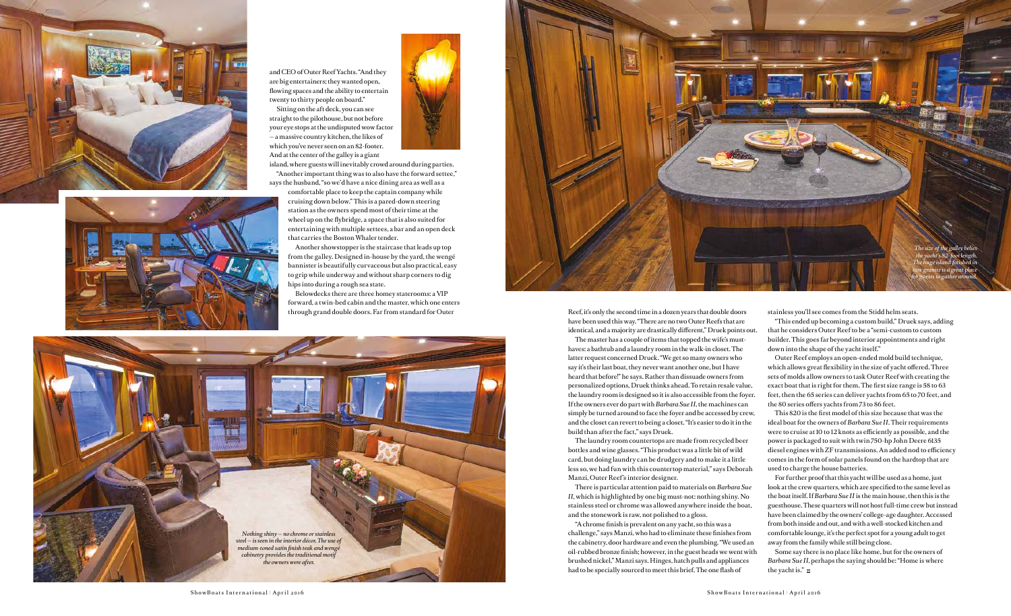Reef, it's only the second time in a dozen years that double doors have been used this way. "There are no two Outer Reefs that are identical, and a majority are drastically different," Druek points out. The master has a couple of items that topped the wife's musthaves: a bathtub and a laundry room in the walk-in closet. The latter request concerned Druek. "We get so many owners who say it's their last boat, they never want another one, but I have heard that before!" he says. Rather than dissuade owners from personalized options, Druek thinks ahead. To retain resale value, the laundry room is designed so it is also accessible from the foyer. If the owners ever do part with *Barbara Sue II*, the machines can simply be turned around to face the foyer and be accessed by crew, and the closet can revert to being a closet. "It's easier to do it in the build than after the fact," says Druek.

The laundry room countertops are made from recycled beer bottles and wine glasses. "This product was a little bit of wild card, but doing laundry can be drudgery and to make it a little less so, we had fun with this countertop material," says Deborah Manzi, Outer Reef 's interior designer.

There is particular attention paid to materials on *Barbara Sue II*, which is highlighted by one big must-not: nothing shiny. No stainless steel or chrome was allowed anywhere inside the boat, and the stonework is raw, not polished to a gloss.

"A chrome finish is prevalent on any yacht, so this was a challenge," says Manzi, who had to eliminate these finishes from the cabinetry, door hardware and even the plumbing. "We used an oil-rubbed bronze finish; however, in the guest heads we went with brushed nickel," Manzi says. Hinges, hatch pulls and appliances had to be specially sourced to meet this brief. The one flash of

Some say there is no place like home, but for the owners of *Barbara Sue II*, perhaps the saying should be: "Home is where the yacht is."  $\mathbf{E}$ 

stainless you'll see comes from the Stidd helm seats.

"This ended up becoming a custom build," Druek says, adding that he considers Outer Reef to be a "semi-custom to custom builder. This goes far beyond interior appointments and right down into the shape of the yacht itself."

Outer Reef employs an open-ended mold build technique, which allows great flexibility in the size of yacht offered. Three sets of molds allow owners to task Outer Reef with creating the exact boat that is right for them. The first size range is 58 to 63 feet, then the 65 series can deliver yachts from 65 to 70 feet, and the 80 series offers yachts from 73 to 86 feet.

This 820 is the first model of this size because that was the ideal boat for the owners of *Barbara Sue II*. Their requirements were to cruise at 10 to 12 knots as efficiently as possible, and the power is packaged to suit with twin 750-hp John Deere 6135 diesel engines with ZF transmissions. An added nod to efficiency comes in the form of solar panels found on the hardtop that are used to charge the house batteries.

For further proof that this yacht will be used as a home, just look at the crew quarters, which are specified to the same level as the boat itself. If *Barbara Sue II* is the main house, then this is the guesthouse. These quarters will not host full-time crew but instead have been claimed by the owners' college-age daughter. Accessed from both inside and out, and with a well-stocked kitchen and comfortable lounge, it's the perfect spot for a young adult to get away from the family while still being close.





and CEO of Outer Reef Yachts. "And they are big entertainers; they wanted open, flowing spaces and the ability to entertain twenty to thirty people on board."

Sitting on the aft deck, you can see straight to the pilothouse, but not before your eye stops at the undisputed wow factor — a massive country kitchen, the likes of which you've never seen on an 82-footer. And at the center of the galley is a giant



says the husband, "so we'd have a nice dining area as well as a comfortable place to keep the captain company while cruising down below." This is a pared-down steering station as the owners spend most of their time at the wheel up on the flybridge, a space that is also suited for entertaining with multiple settees, a bar and an open deck that carries the Boston Whaler tender.

Another showstopper is the staircase that leads up top from the galley. Designed in-house by the yard, the wengé bannister is beautifully curvaceous but also practical, easy to grip while underway and without sharp corners to dig hips into during a rough sea state.

Belowdecks there are three homey staterooms: a VIP forward, a twin-bed cabin and the master, which one enters through grand double doors. Far from standard for Outer





*The size of the galley belies the yacht's 82-foot length. The huge island finished in raw granite is a great place for guests to gather around.*

ShowBoats International | April 2016